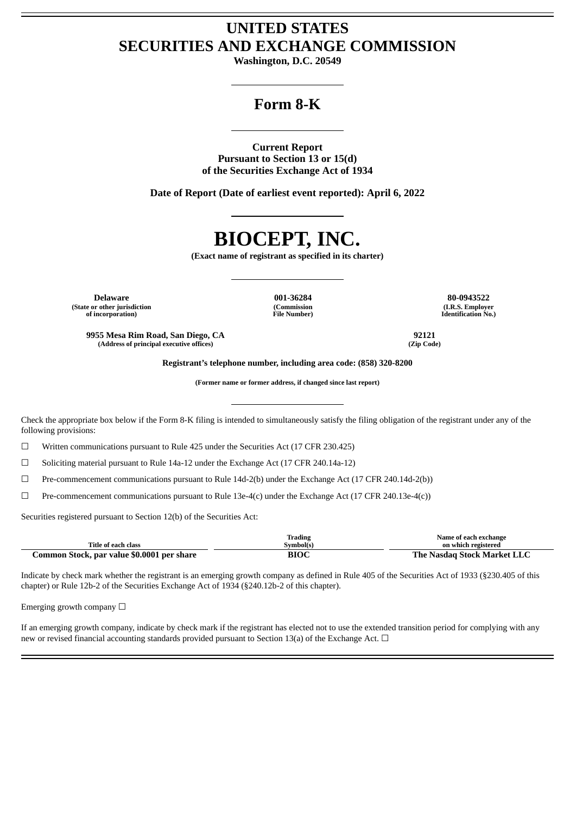## **UNITED STATES SECURITIES AND EXCHANGE COMMISSION**

**Washington, D.C. 20549**

## **Form 8-K**

**Current Report Pursuant to Section 13 or 15(d) of the Securities Exchange Act of 1934**

**Date of Report (Date of earliest event reported): April 6, 2022**

# **BIOCEPT, INC.**

**(Exact name of registrant as specified in its charter)**

**Delaware 001-36284 80-0943522 (State or other jurisdiction of incorporation)**

**(Commission File Number)**

**(I.R.S. Employer Identification No.)**

**9955 Mesa Rim Road, San Diego, CA 92121**

**Registrant's telephone number, including area code: (858) 320-8200**

**(Former name or former address, if changed since last report)**

Check the appropriate box below if the Form 8-K filing is intended to simultaneously satisfy the filing obligation of the registrant under any of the following provisions:

☐ Written communications pursuant to Rule 425 under the Securities Act (17 CFR 230.425)

☐ Soliciting material pursuant to Rule 14a-12 under the Exchange Act (17 CFR 240.14a-12)

☐ Pre-commencement communications pursuant to Rule 14d-2(b) under the Exchange Act (17 CFR 240.14d-2(b))

 $\Box$  Pre-commencement communications pursuant to Rule 13e-4(c) under the Exchange Act (17 CFR 240.13e-4(c))

Securities registered pursuant to Section 12(b) of the Securities Act:

**(Address of principal executive offices) (Zip Code)**

|                                            | Trading   | Name of each exchange       |
|--------------------------------------------|-----------|-----------------------------|
| Title of each class                        | Svmbol(s) | on which registered         |
| Common Stock, par value \$0.0001 per share | מזמ<br>ыл | The Nasdag Stock Market LLC |

Indicate by check mark whether the registrant is an emerging growth company as defined in Rule 405 of the Securities Act of 1933 (§230.405 of this chapter) or Rule 12b-2 of the Securities Exchange Act of 1934 (§240.12b-2 of this chapter).

Emerging growth company  $\Box$ 

If an emerging growth company, indicate by check mark if the registrant has elected not to use the extended transition period for complying with any new or revised financial accounting standards provided pursuant to Section 13(a) of the Exchange Act.  $\Box$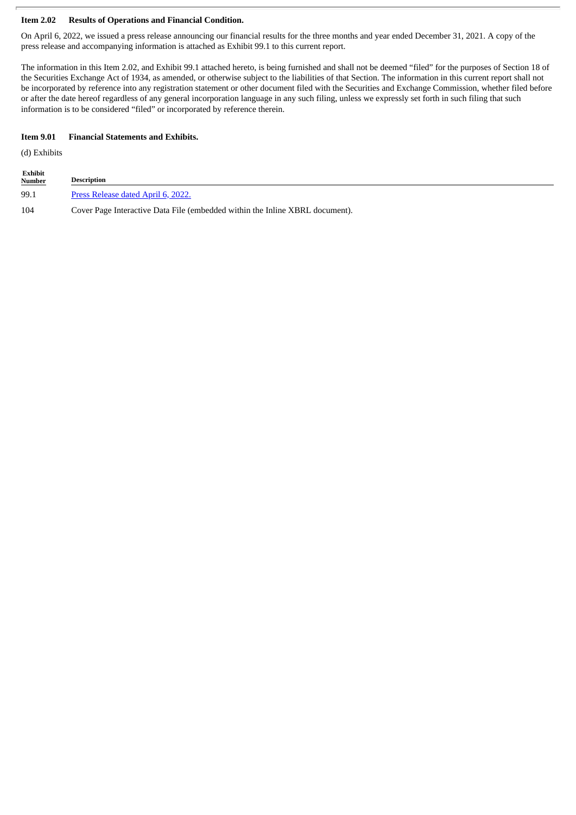#### **Item 2.02 Results of Operations and Financial Condition.**

On April 6, 2022, we issued a press release announcing our financial results for the three months and year ended December 31, 2021. A copy of the press release and accompanying information is attached as Exhibit 99.1 to this current report.

The information in this Item 2.02, and Exhibit 99.1 attached hereto, is being furnished and shall not be deemed "filed" for the purposes of Section 18 of the Securities Exchange Act of 1934, as amended, or otherwise subject to the liabilities of that Section. The information in this current report shall not be incorporated by reference into any registration statement or other document filed with the Securities and Exchange Commission, whether filed before or after the date hereof regardless of any general incorporation language in any such filing, unless we expressly set forth in such filing that such information is to be considered "filed" or incorporated by reference therein.

### **Item 9.01 Financial Statements and Exhibits.**

(d) Exhibits

| Exhibit<br><b>Number</b> | <b>Description</b>                                                           |
|--------------------------|------------------------------------------------------------------------------|
| 99.1                     | Press Release dated April 6, 2022.                                           |
| 104                      | Cover Page Interactive Data File (embedded within the Inline XBRL document). |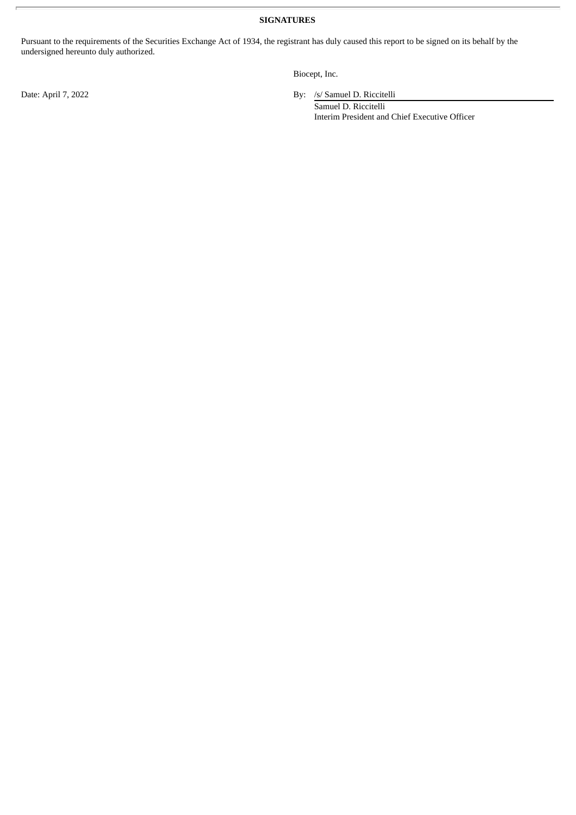**SIGNATURES**

Pursuant to the requirements of the Securities Exchange Act of 1934, the registrant has duly caused this report to be signed on its behalf by the undersigned hereunto duly authorized.

Biocept, Inc.

Date: April 7, 2022 By: /s/ Samuel D. Riccitelli

Samuel D. Riccitelli Interim President and Chief Executive Officer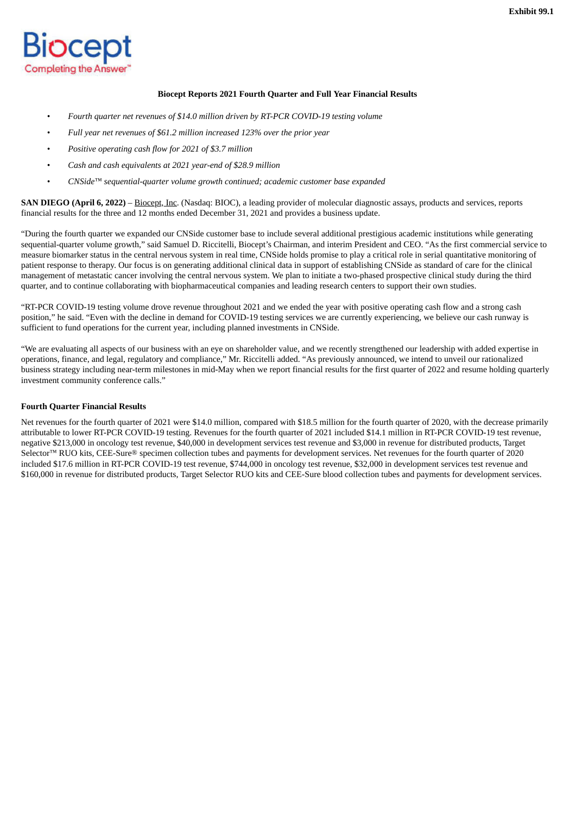<span id="page-3-0"></span>

#### **Biocept Reports 2021 Fourth Quarter and Full Year Financial Results**

- *Fourth quarter net revenues of \$14.0 million driven by RT-PCR COVID-19 testing volume*
- *Full year net revenues of \$61.2 million increased 123% over the prior year*
- *Positive operating cash flow for 2021 of \$3.7 million*
- *Cash and cash equivalents at 2021 year-end of \$28.9 million*
- *CNSide™ sequential-quarter volume growth continued; academic customer base expanded*

**SAN DIEGO (April 6, 2022)** – Biocept, Inc. (Nasdaq: BIOC), a leading provider of molecular diagnostic assays, products and services, reports financial results for the three and 12 months ended December 31, 2021 and provides a business update.

"During the fourth quarter we expanded our CNSide customer base to include several additional prestigious academic institutions while generating sequential-quarter volume growth," said Samuel D. Riccitelli, Biocept's Chairman, and interim President and CEO. "As the first commercial service to measure biomarker status in the central nervous system in real time, CNSide holds promise to play a critical role in serial quantitative monitoring of patient response to therapy. Our focus is on generating additional clinical data in support of establishing CNSide as standard of care for the clinical management of metastatic cancer involving the central nervous system. We plan to initiate a two-phased prospective clinical study during the third quarter, and to continue collaborating with biopharmaceutical companies and leading research centers to support their own studies.

"RT-PCR COVID-19 testing volume drove revenue throughout 2021 and we ended the year with positive operating cash flow and a strong cash position," he said. "Even with the decline in demand for COVID-19 testing services we are currently experiencing, we believe our cash runway is sufficient to fund operations for the current year, including planned investments in CNSide.

"We are evaluating all aspects of our business with an eye on shareholder value, and we recently strengthened our leadership with added expertise in operations, finance, and legal, regulatory and compliance," Mr. Riccitelli added. "As previously announced, we intend to unveil our rationalized business strategy including near-term milestones in mid-May when we report financial results for the first quarter of 2022 and resume holding quarterly investment community conference calls."

#### **Fourth Quarter Financial Results**

Net revenues for the fourth quarter of 2021 were \$14.0 million, compared with \$18.5 million for the fourth quarter of 2020, with the decrease primarily attributable to lower RT-PCR COVID-19 testing. Revenues for the fourth quarter of 2021 included \$14.1 million in RT-PCR COVID-19 test revenue, negative \$213,000 in oncology test revenue, \$40,000 in development services test revenue and \$3,000 in revenue for distributed products, Target Selector<sup>™</sup> RUO kits, CEE-Sure® specimen collection tubes and payments for development services. Net revenues for the fourth quarter of 2020 included \$17.6 million in RT-PCR COVID-19 test revenue, \$744,000 in oncology test revenue, \$32,000 in development services test revenue and \$160,000 in revenue for distributed products, Target Selector RUO kits and CEE-Sure blood collection tubes and payments for development services.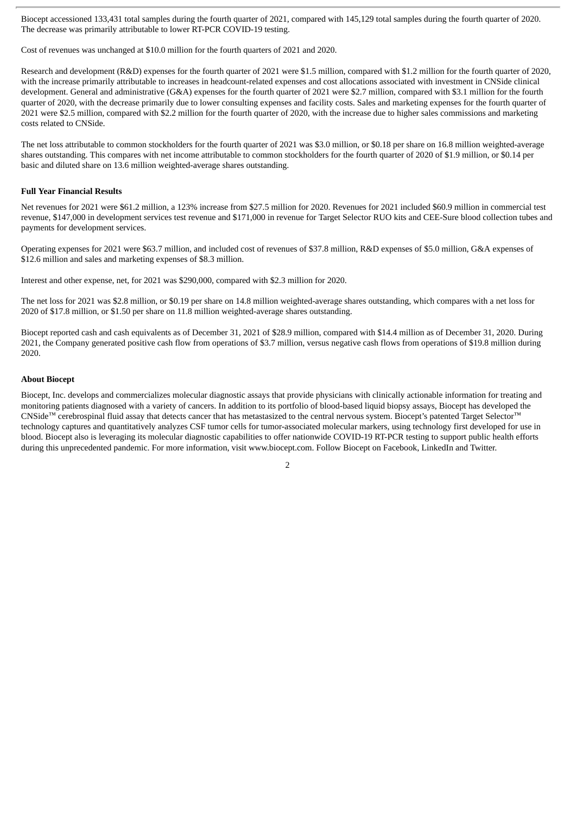Biocept accessioned 133,431 total samples during the fourth quarter of 2021, compared with 145,129 total samples during the fourth quarter of 2020. The decrease was primarily attributable to lower RT-PCR COVID-19 testing.

Cost of revenues was unchanged at \$10.0 million for the fourth quarters of 2021 and 2020.

Research and development (R&D) expenses for the fourth quarter of 2021 were \$1.5 million, compared with \$1.2 million for the fourth quarter of 2020, with the increase primarily attributable to increases in headcount-related expenses and cost allocations associated with investment in CNSide clinical development. General and administrative (G&A) expenses for the fourth quarter of 2021 were \$2.7 million, compared with \$3.1 million for the fourth quarter of 2020, with the decrease primarily due to lower consulting expenses and facility costs. Sales and marketing expenses for the fourth quarter of 2021 were \$2.5 million, compared with \$2.2 million for the fourth quarter of 2020, with the increase due to higher sales commissions and marketing costs related to CNSide.

The net loss attributable to common stockholders for the fourth quarter of 2021 was \$3.0 million, or \$0.18 per share on 16.8 million weighted-average shares outstanding. This compares with net income attributable to common stockholders for the fourth quarter of 2020 of \$1.9 million, or \$0.14 per basic and diluted share on 13.6 million weighted-average shares outstanding.

#### **Full Year Financial Results**

Net revenues for 2021 were \$61.2 million, a 123% increase from \$27.5 million for 2020. Revenues for 2021 included \$60.9 million in commercial test revenue, \$147,000 in development services test revenue and \$171,000 in revenue for Target Selector RUO kits and CEE-Sure blood collection tubes and payments for development services.

Operating expenses for 2021 were \$63.7 million, and included cost of revenues of \$37.8 million, R&D expenses of \$5.0 million, G&A expenses of \$12.6 million and sales and marketing expenses of \$8.3 million.

Interest and other expense, net, for 2021 was \$290,000, compared with \$2.3 million for 2020.

The net loss for 2021 was \$2.8 million, or \$0.19 per share on 14.8 million weighted-average shares outstanding, which compares with a net loss for 2020 of \$17.8 million, or \$1.50 per share on 11.8 million weighted-average shares outstanding.

Biocept reported cash and cash equivalents as of December 31, 2021 of \$28.9 million, compared with \$14.4 million as of December 31, 2020. During 2021, the Company generated positive cash flow from operations of \$3.7 million, versus negative cash flows from operations of \$19.8 million during 2020.

#### **About Biocept**

Biocept, Inc. develops and commercializes molecular diagnostic assays that provide physicians with clinically actionable information for treating and monitoring patients diagnosed with a variety of cancers. In addition to its portfolio of blood-based liquid biopsy assays, Biocept has developed the CNSide™ cerebrospinal fluid assay that detects cancer that has metastasized to the central nervous system. Biocept's patented Target Selector™ technology captures and quantitatively analyzes CSF tumor cells for tumor-associated molecular markers, using technology first developed for use in blood. Biocept also is leveraging its molecular diagnostic capabilities to offer nationwide COVID-19 RT-PCR testing to support public health efforts during this unprecedented pandemic. For more information, visit www.biocept.com. Follow Biocept on Facebook, LinkedIn and Twitter.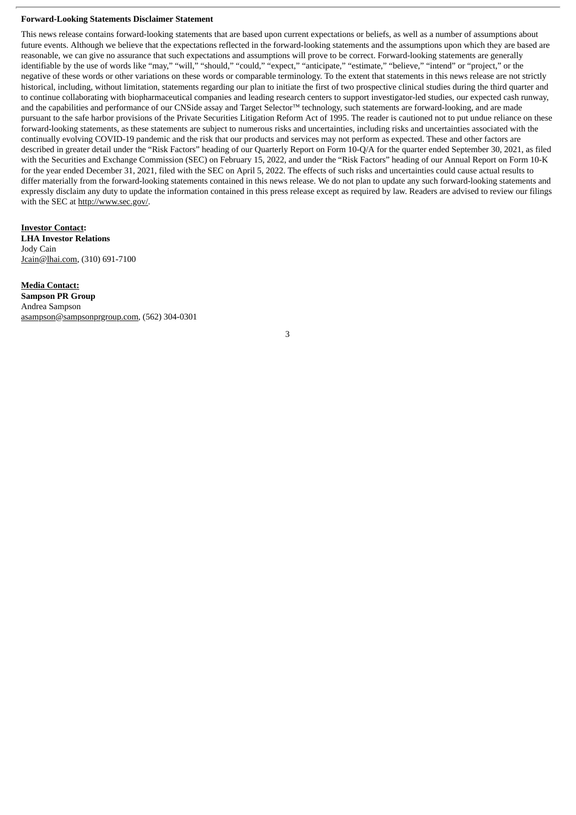#### **Forward-Looking Statements Disclaimer Statement**

This news release contains forward-looking statements that are based upon current expectations or beliefs, as well as a number of assumptions about future events. Although we believe that the expectations reflected in the forward-looking statements and the assumptions upon which they are based are reasonable, we can give no assurance that such expectations and assumptions will prove to be correct. Forward-looking statements are generally identifiable by the use of words like "may," "will," "should," "could," "expect," "anticipate," "estimate," "believe," "intend" or "project," or the negative of these words or other variations on these words or comparable terminology. To the extent that statements in this news release are not strictly historical, including, without limitation, statements regarding our plan to initiate the first of two prospective clinical studies during the third quarter and to continue collaborating with biopharmaceutical companies and leading research centers to support investigator-led studies, our expected cash runway, and the capabilities and performance of our CNSide assay and Target Selector™ technology, such statements are forward-looking, and are made pursuant to the safe harbor provisions of the Private Securities Litigation Reform Act of 1995. The reader is cautioned not to put undue reliance on these forward-looking statements, as these statements are subject to numerous risks and uncertainties, including risks and uncertainties associated with the continually evolving COVID-19 pandemic and the risk that our products and services may not perform as expected. These and other factors are described in greater detail under the "Risk Factors" heading of our Quarterly Report on Form 10-Q/A for the quarter ended September 30, 2021, as filed with the Securities and Exchange Commission (SEC) on February 15, 2022, and under the "Risk Factors" heading of our Annual Report on Form 10-K for the year ended December 31, 2021, filed with the SEC on April 5, 2022. The effects of such risks and uncertainties could cause actual results to differ materially from the forward-looking statements contained in this news release. We do not plan to update any such forward-looking statements and expressly disclaim any duty to update the information contained in this press release except as required by law. Readers are advised to review our filings with the SEC at http://www.sec.gov/.

**Investor Contact: LHA Investor Relations** Jody Cain Jcain@lhai.com, (310) 691-7100

**Media Contact: Sampson PR Group** Andrea Sampson asampson@sampsonprgroup.com, (562) 304-0301

3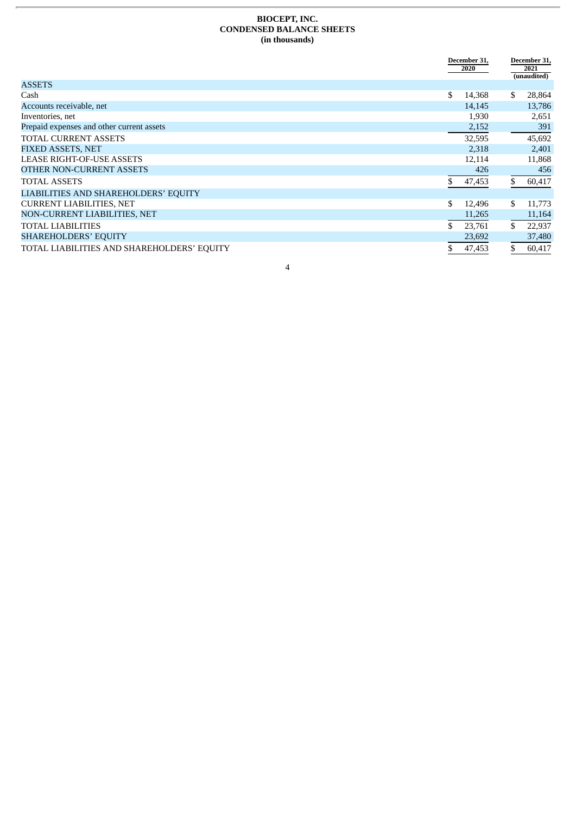#### **BIOCEPT, INC. CONDENSED BALANCE SHEETS (in thousands)**

|                                            |    | December 31,<br>2020 | December 31,<br>2021<br>(unaudited) |  |
|--------------------------------------------|----|----------------------|-------------------------------------|--|
| <b>ASSETS</b>                              |    |                      |                                     |  |
| Cash                                       | \$ | \$<br>14,368         | 28,864                              |  |
| Accounts receivable, net                   |    | 14,145               | 13,786                              |  |
| Inventories, net                           |    | 1,930                | 2,651                               |  |
| Prepaid expenses and other current assets  |    | 2,152                | 391                                 |  |
| <b>TOTAL CURRENT ASSETS</b>                |    | 32,595               | 45,692                              |  |
| <b>FIXED ASSETS, NET</b>                   |    | 2,318                | 2,401                               |  |
| LEASE RIGHT-OF-USE ASSETS                  |    | 12,114               | 11,868                              |  |
| <b>OTHER NON-CURRENT ASSETS</b>            |    | 426                  | 456                                 |  |
| <b>TOTAL ASSETS</b>                        | \$ | \$<br>47,453         | 60,417                              |  |
| LIABILITIES AND SHAREHOLDERS' EQUITY       |    |                      |                                     |  |
| <b>CURRENT LIABILITIES, NET</b>            | \$ | 12,496<br>\$.        | 11,773                              |  |
| NON-CURRENT LIABILITIES, NET               |    | 11,265               | 11,164                              |  |
| <b>TOTAL LIABILITIES</b>                   | \$ | \$<br>23,761         | 22,937                              |  |
| <b>SHAREHOLDERS' EQUITY</b>                |    | 23,692               | 37,480                              |  |
| TOTAL LIABILITIES AND SHAREHOLDERS' EQUITY | \$ | \$<br>47,453         | 60,417                              |  |

4